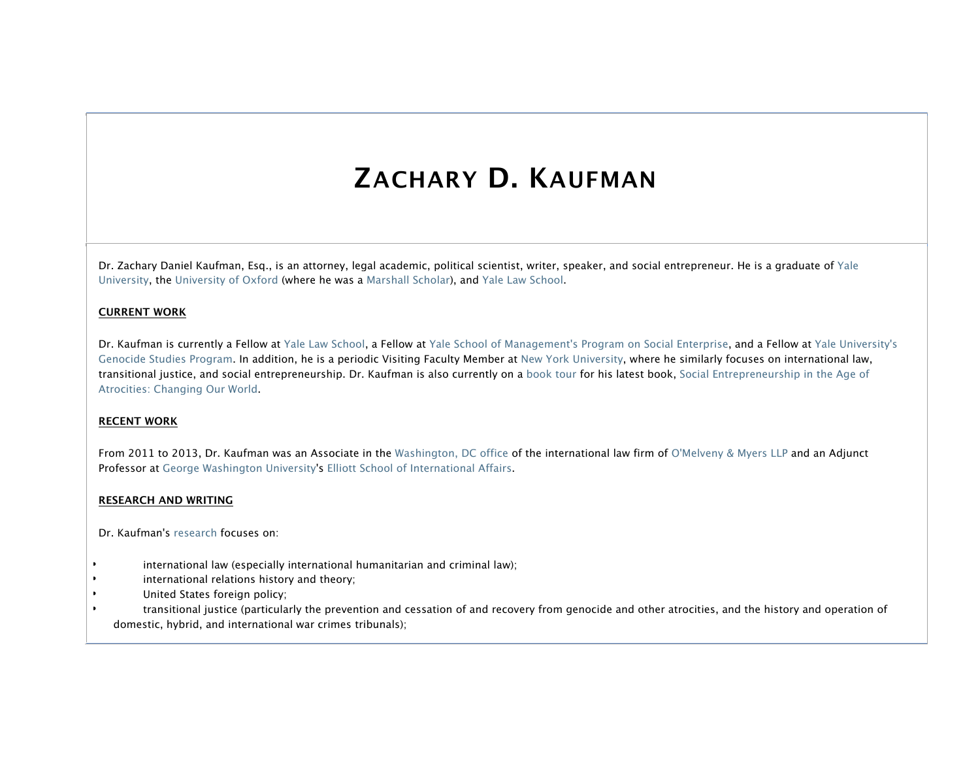# **ZACHARY D. KAUFMAN**

Dr. Zachary Daniel Kaufman, Esq., is an attorney, legal academic, political scientist, writer, speaker, and social entrepreneur. He is a graduate of Yale University, the University of Oxford (where he was a Marshall Scholar), and Yale Law School.

## **CURRENT WORK**

Dr. Kaufman is currently a Fellow at Yale Law School, a Fellow at Yale School of Management's Program on Social Enterprise, and a Fellow at Yale University's Genocide Studies Program. In addition, he is a periodic Visiting Faculty Member at New York University, where he similarly focuses on international law, transitional justice, and social entrepreneurship. Dr. Kaufman is also currently on a book tour for his latest book, Social Entrepreneurship in the Age of Atrocities: Changing Our World.

#### **RECENT WORK**

From 2011 to 2013, Dr. Kaufman was an Associate in the Washington, DC office of the international law firm of O'Melveny & Myers LLP and an Adjunct Professor at George Washington University's Elliott School of International Affairs.

#### **RESEARCH AND WRITING**

Dr. Kaufman's research focuses on:

- international law (especially international humanitarian and criminal law);
- international relations history and theory;
- United States foreign policy;
- transitional justice (particularly the prevention and cessation of and recovery from genocide and other atrocities, and the history and operation of domestic, hybrid, and international war crimes tribunals);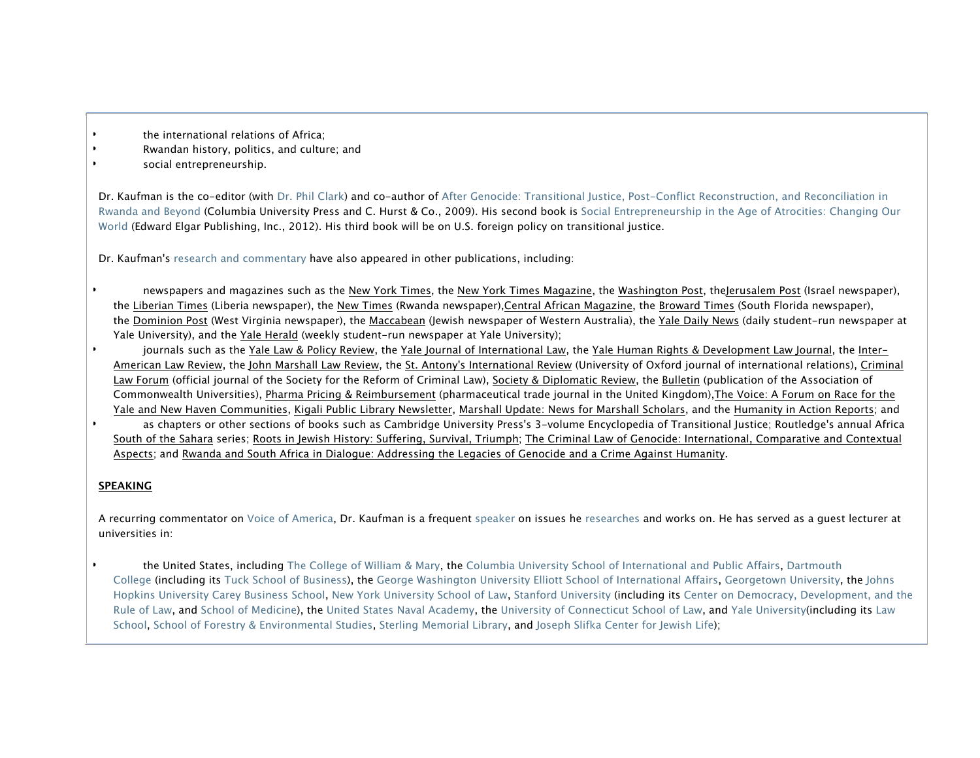- the international relations of Africa:
- Rwandan history, politics, and culture; and
- social entrepreneurship.

Dr. Kaufman is the co-editor (with Dr. Phil Clark) and co-author of After Genocide: Transitional Justice, Post-Conflict Reconstruction, and Reconciliation in Rwanda and Beyond (Columbia University Press and C. Hurst & Co., 2009). His second book is Social Entrepreneurship in the Age of Atrocities: Changing Our World (Edward Elgar Publishing, Inc., 2012). His third book will be on U.S. foreign policy on transitional justice.

Dr. Kaufman's research and commentary have also appeared in other publications, including:

newspapers and magazines such as the New York Times, the New York Times Magazine, the Washington Post, theJerusalem Post (Israel newspaper), the Liberian Times (Liberia newspaper), the New Times (Rwanda newspaper),Central African Magazine, the Broward Times (South Florida newspaper), the Dominion Post (West Virginia newspaper), the Maccabean (Jewish newspaper of Western Australia), the Yale Daily News (daily student-run newspaper at Yale University), and the Yale Herald (weekly student-run newspaper at Yale University);

• journals such as the Yale Law & Policy Review, the Yale Journal of International Law, the Yale Human Rights & Development Law Journal, the Inter-American Law Review, the John Marshall Law Review, the St. Antony's International Review (University of Oxford journal of international relations), Criminal Law Forum (official journal of the Society for the Reform of Criminal Law), Society & Diplomatic Review, the Bulletin (publication of the Association of Commonwealth Universities), Pharma Pricing & Reimbursement (pharmaceutical trade journal in the United Kingdom),The Voice: A Forum on Race for the Yale and New Haven Communities, Kigali Public Library Newsletter, Marshall Update: News for Marshall Scholars, and the Humanity in Action Reports; and

• as chapters or other sections of books such as Cambridge University Press's 3-volume Encyclopedia of Transitional Justice; Routledge's annual Africa South of the Sahara series; Roots in Jewish History: Suffering, Survival, Triumph; The Criminal Law of Genocide: International, Comparative and Contextual Aspects; and Rwanda and South Africa in Dialogue: Addressing the Legacies of Genocide and a Crime Against Humanity.

## **SPEAKING**

A recurring commentator on Voice of America, Dr. Kaufman is a frequent speaker on issues he researches and works on. He has served as a guest lecturer at universities in:

the United States, including The College of William & Mary, the Columbia University School of International and Public Affairs, Dartmouth College (including its Tuck School of Business), the George Washington University Elliott School of International Affairs, Georgetown University, the Johns Hopkins University Carey Business School, New York University School of Law, Stanford University (including its Center on Democracy, Development, and the Rule of Law, and School of Medicine), the United States Naval Academy, the University of Connecticut School of Law, and Yale University(including its Law School, School of Forestry & Environmental Studies, Sterling Memorial Library, and Joseph Slifka Center for Jewish Life);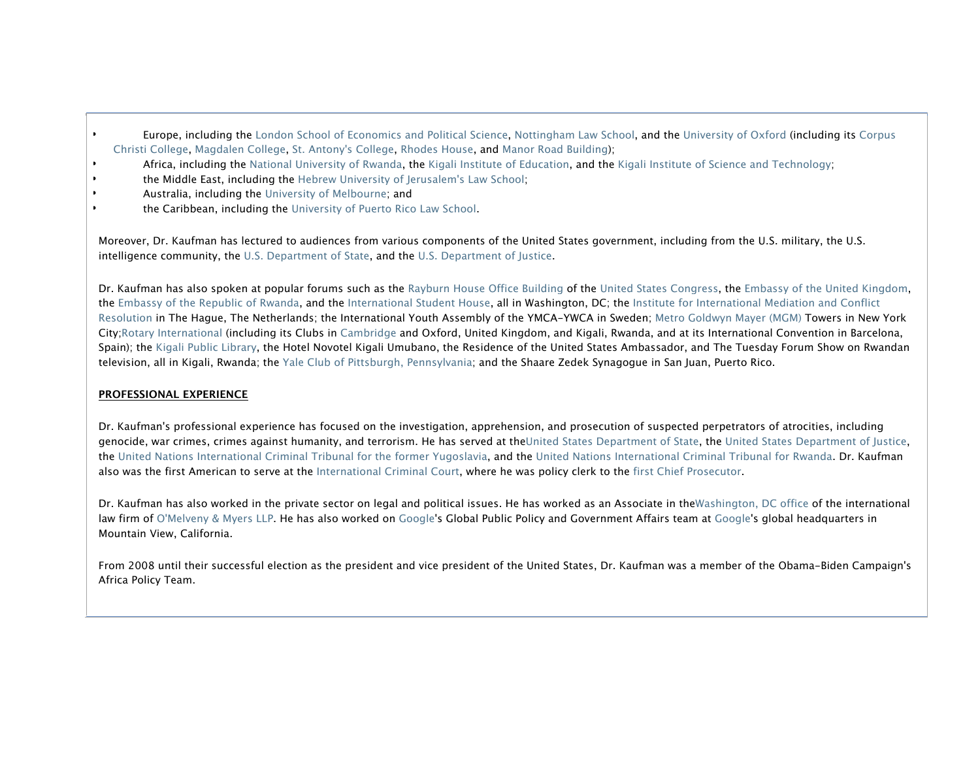- Europe, including the London School of Economics and Political Science, Nottingham Law School, and the University of Oxford (including its Corpus Christi College, Magdalen College, St. Antony's College, Rhodes House, and Manor Road Building);
- Africa, including the National University of Rwanda, the Kigali Institute of Education, and the Kigali Institute of Science and Technology;
- **the Middle East, including the Hebrew University of Jerusalem's Law School;**
- Australia, including the University of Melbourne; and
- the Caribbean, including the University of Puerto Rico Law School.

Moreover, Dr. Kaufman has lectured to audiences from various components of the United States government, including from the U.S. military, the U.S. intelligence community, the U.S. Department of State, and the U.S. Department of Justice.

Dr. Kaufman has also spoken at popular forums such as the Rayburn House Office Building of the United States Congress, the Embassy of the United Kingdom, the Embassy of the Republic of Rwanda, and the International Student House, all in Washington, DC; the Institute for International Mediation and Conflict Resolution in The Hague, The Netherlands; the International Youth Assembly of the YMCA-YWCA in Sweden; Metro Goldwyn Mayer (MGM) Towers in New York City;Rotary International (including its Clubs in Cambridge and Oxford, United Kingdom, and Kigali, Rwanda, and at its International Convention in Barcelona, Spain); the Kigali Public Library, the Hotel Novotel Kigali Umubano, the Residence of the United States Ambassador, and The Tuesday Forum Show on Rwandan television, all in Kigali, Rwanda; the Yale Club of Pittsburgh, Pennsylvania; and the Shaare Zedek Synagogue in San Juan, Puerto Rico.

## **PROFESSIONAL EXPERIENCE**

Dr. Kaufman's professional experience has focused on the investigation, apprehension, and prosecution of suspected perpetrators of atrocities, including genocide, war crimes, crimes against humanity, and terrorism. He has served at theUnited States Department of State, the United States Department of Justice, the United Nations International Criminal Tribunal for the former Yugoslavia, and the United Nations International Criminal Tribunal for Rwanda. Dr. Kaufman also was the first American to serve at the International Criminal Court, where he was policy clerk to the first Chief Prosecutor.

Dr. Kaufman has also worked in the private sector on legal and political issues. He has worked as an Associate in theWashington, DC office of the international law firm of O'Melveny & Myers LLP. He has also worked on Google's Global Public Policy and Government Affairs team at Google's global headquarters in Mountain View, California.

From 2008 until their successful election as the president and vice president of the United States, Dr. Kaufman was a member of the Obama-Biden Campaign's Africa Policy Team.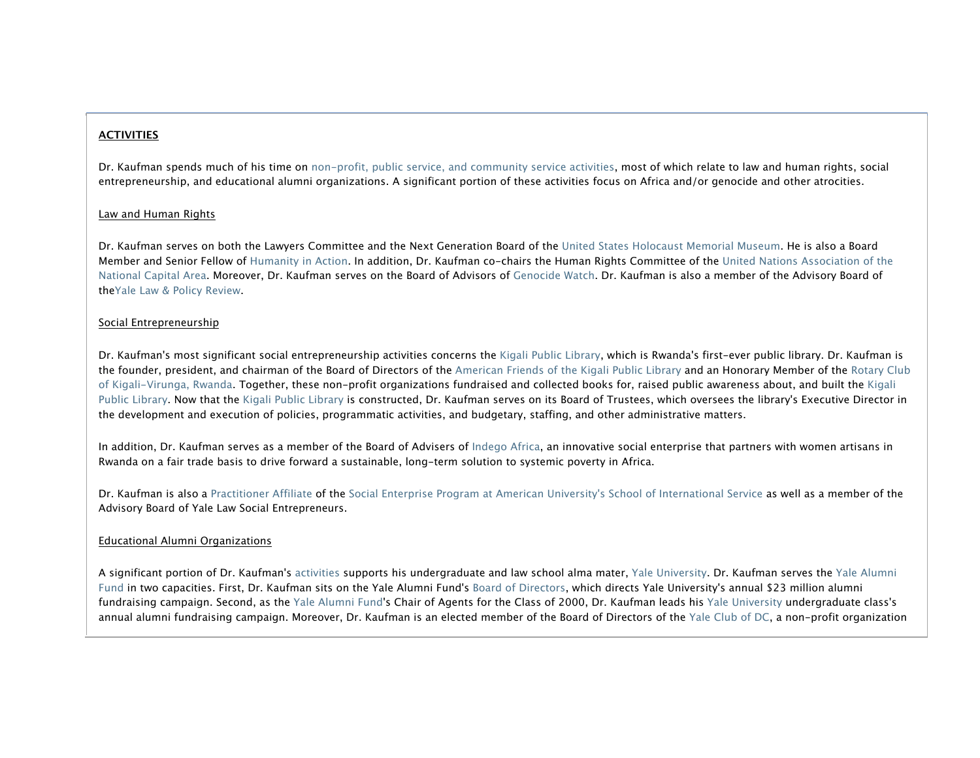## **ACTIVITIES**

Dr. Kaufman spends much of his time on non-profit, public service, and community service activities, most of which relate to law and human rights, social entrepreneurship, and educational alumni organizations. A significant portion of these activities focus on Africa and/or genocide and other atrocities.

#### Law and Human Rights

Dr. Kaufman serves on both the Lawyers Committee and the Next Generation Board of the United States Holocaust Memorial Museum. He is also a Board Member and Senior Fellow of Humanity in Action. In addition, Dr. Kaufman co-chairs the Human Rights Committee of the United Nations Association of the National Capital Area. Moreover, Dr. Kaufman serves on the Board of Advisors of Genocide Watch. Dr. Kaufman is also a member of the Advisory Board of theYale Law & Policy Review.

#### Social Entrepreneurship

Dr. Kaufman's most significant social entrepreneurship activities concerns the Kigali Public Library, which is Rwanda's first-ever public library. Dr. Kaufman is the founder, president, and chairman of the Board of Directors of the American Friends of the Kigali Public Library and an Honorary Member of the Rotary Club of Kigali-Virunga, Rwanda. Together, these non-profit organizations fundraised and collected books for, raised public awareness about, and built the Kigali Public Library. Now that the Kigali Public Library is constructed, Dr. Kaufman serves on its Board of Trustees, which oversees the library's Executive Director in the development and execution of policies, programmatic activities, and budgetary, staffing, and other administrative matters.

In addition, Dr. Kaufman serves as a member of the Board of Advisers of Indego Africa, an innovative social enterprise that partners with women artisans in Rwanda on a fair trade basis to drive forward a sustainable, long-term solution to systemic poverty in Africa.

Dr. Kaufman is also a Practitioner Affiliate of the Social Enterprise Program at American University's School of International Service as well as a member of the Advisory Board of Yale Law Social Entrepreneurs.

#### Educational Alumni Organizations

A significant portion of Dr. Kaufman's activities supports his undergraduate and law school alma mater, Yale University. Dr. Kaufman serves the Yale Alumni Fund in two capacities. First, Dr. Kaufman sits on the Yale Alumni Fund's Board of Directors, which directs Yale University's annual \$23 million alumni fundraising campaign. Second, as the Yale Alumni Fund's Chair of Agents for the Class of 2000, Dr. Kaufman leads his Yale University undergraduate class's annual alumni fundraising campaign. Moreover, Dr. Kaufman is an elected member of the Board of Directors of the Yale Club of DC, a non-profit organization